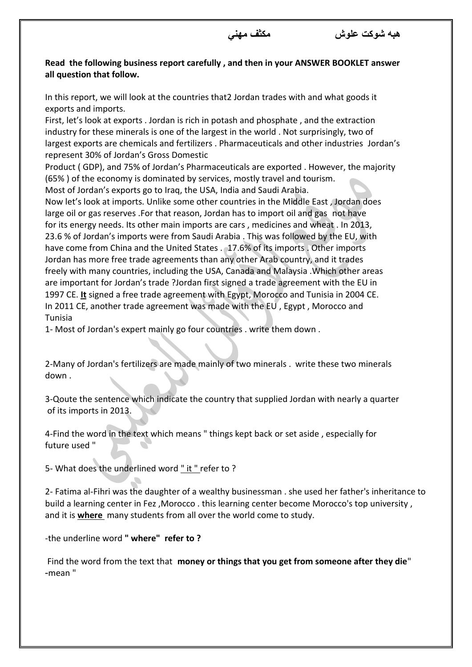

## **Read the following business report carefully , and then in your ANSWER BOOKLET answer all question that follow.**

In this report, we will look at the countries that2 Jordan trades with and what goods it exports and imports.

First, let's look at exports . Jordan is rich in potash and phosphate , and the extraction industry for these minerals is one of the largest in the world . Not surprisingly, two of largest exports are chemicals and fertilizers . Pharmaceuticals and other industries Jordan's represent 30% of Jordan's Gross Domestic

Product ( GDP), and 75% of Jordan's Pharmaceuticals are exported . However, the majority (65% ) of the economy is dominated by services, mostly travel and tourism. Most of Jordan's exports go to Iraq, the USA, India and Saudi Arabia.

Now let's look at imports. Unlike some other countries in the Middle East , Jordan does large oil or gas reserves .For that reason, Jordan has to import oil and gas not have for its energy needs. Its other main imports are cars , medicines and wheat . In 2013, 23.6 % of Jordan's imports were from Saudi Arabia . This was followed by the EU, with have come from China and the United States . 17.6% of its imports . Other imports Jordan has more free trade agreements than any other Arab country, and it trades freely with many countries, including the USA, Canada and Malaysia .Which other areas are important for Jordan's trade ?Jordan first signed a trade agreement with the EU in 1997 CE. **It** signed a free trade agreement with Egypt, Morocco and Tunisia in 2004 CE. In 2011 CE, another trade agreement was made with the EU , Egypt , Morocco and Tunisia

1- Most of Jordan's expert mainly go four countries . write them down .

2-Many of Jordan's fertilizers are made mainly of two minerals . write these two minerals down .

3-Qoute the sentence which indicate the country that supplied Jordan with nearly a quarter of its imports in 2013.

4-Find the word in the text which means " things kept back or set aside , especially for future used "

5- What does the underlined word " it " refer to ?

2- Fatima al-Fihri was the daughter of a wealthy businessman . she used her father's inheritance to build a learning center in Fez, Morocco. this learning center become Morocco's top university, and it is **where** many students from all over the world come to study.

-the underline word **" where" refer to ?**

Find the word from the text that **money or things that you get from someone after they die**" -mean "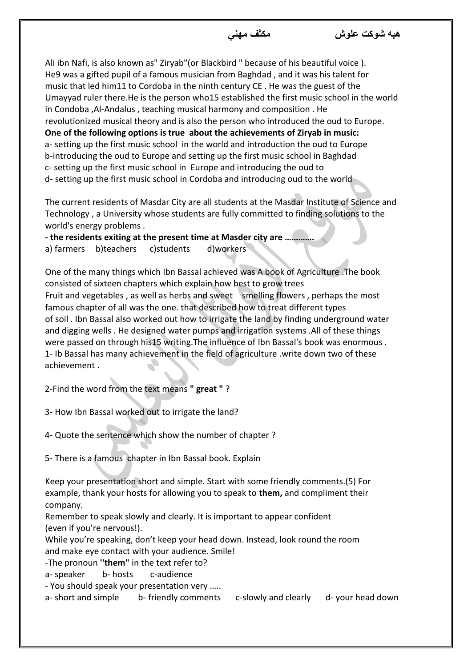Ali ibn Nafi, is also known as" Ziryab"(or Blackbird " because of his beautiful voice ). He9 was a gifted pupil of a famous musician from Baghdad , and it was his talent for music that led him11 to Cordoba in the ninth century CE . He was the guest of the Umayyad ruler there.He is the person who15 established the first music school in the world in Condoba ,Al-Andalus , teaching musical harmony and composition . He revolutionized musical theory and is also the person who introduced the oud to Europe. **One of the following options is true about the achievements of Ziryab in music:**  a- setting up the first music school in the world and introduction the oud to Europe b-introducing the oud to Europe and setting up the first music school in Baghdad c- setting up the first music school in Europe and introducing the oud to d- setting up the first music school in Cordoba and introducing oud to the world

**هبه شوكت علوش مكثف مهني** 

The current residents of Masdar City are all students at the Masdar Institute of Science and Technology , a University whose students are fully committed to finding solutions to the world's energy problems .

**- the residents exiting at the present time at Masder city are ………….**  a) farmers b)teachers c)students d)workers

One of the many things which Ibn Bassal achieved was A book of Agriculture .The book consisted of sixteen chapters which explain how best to grow trees Fruit and vegetables , as well as herbs and sweet – smelling flowers , perhaps the most famous chapter of all was the one. that described how to treat different types of soil . Ibn Bassal also worked out how to irrigate the land by finding underground water and digging wells . He designed water pumps and irrigation systems .All of these things were passed on through his15 writing.The influence of Ibn Bassal's book was enormous . 1- Ib Bassal has many achievement in the field of agriculture .write down two of these achievement .

2-Find the word from the text means **" great "** ?

3- How Ibn Bassal worked out to irrigate the land?

4- Quote the sentence which show the number of chapter ?

5- There is a famous chapter in Ibn Bassal book. Explain

Keep your presentation short and simple. Start with some friendly comments.(5) For example, thank your hosts for allowing you to speak to **them,** and compliment their company.

Remember to speak slowly and clearly. It is important to appear confident (even if you're nervous!).

While you're speaking, don't keep your head down. Instead, look round the room and make eye contact with your audience. Smile!

-The pronoun **''them"** in the text refer to?

a- speaker b- hosts c-audience

- You should speak your presentation very …..

a- short and simple b- friendly comments c-slowly and clearly d- your head down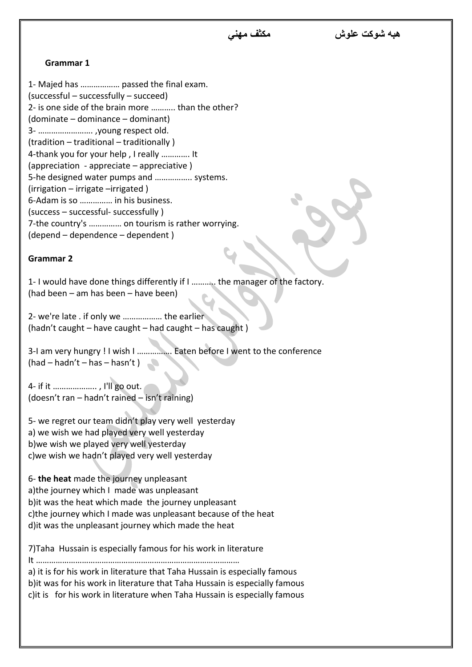**هبه شوكت علوش مكثف مهني** 

## **Grammar 1**

1- Majed has ……………… passed the final exam. (successful – successfully – succeed) 2- is one side of the brain more ……….. than the other? (dominate – dominance – dominant) 3- ……………………. ,young respect old. (tradition – traditional – traditionally ) 4-thank you for your help , I really …………. It (appreciation - appreciate – appreciative ) 5-he designed water pumps and …………….. systems. (irrigation – irrigate –irrigated ) 6-Adam is so …………… in his business. (success – successful- successfully ) 7-the country's …………… on tourism is rather worrying. (depend – dependence – dependent )

## **Grammar 2**

1- I would have done things differently if I ……….. the manager of the factory. (had been – am has been – have been)

2- we're late . if only we ……………… the earlier (hadn't caught – have caught – had caught – has caught )

3-I am very hungry ! I wish I ……………. Eaten before I went to the conference (had – hadn't – has – hasn't)

4- if it ……………….. , I'll go out. (doesn't ran – hadn't rained – isn't raining)

5- we regret our team didn't play very well yesterday a) we wish we had played very well yesterday b)we wish we played very well yesterday c)we wish we hadn't played very well yesterday

6- **the heat** made the journey unpleasant a)the journey which I made was unpleasant b)it was the heat which made the journey unpleasant c)the journey which I made was unpleasant because of the heat d)it was the unpleasant journey which made the heat

7)Taha Hussain is especially famous for his work in literature

It …………………………………………………………………………………

a) it is for his work in literature that Taha Hussain is especially famous b)it was for his work in literature that Taha Hussain is especially famous c)it is for his work in literature when Taha Hussain is especially famous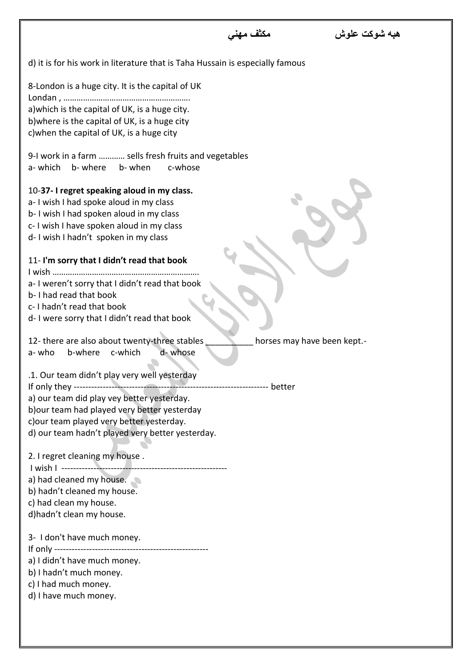|                                                                                                                                                                                                                                             |  | هبه شوكت علوش               |
|---------------------------------------------------------------------------------------------------------------------------------------------------------------------------------------------------------------------------------------------|--|-----------------------------|
| d) it is for his work in literature that is Taha Hussain is especially famous                                                                                                                                                               |  |                             |
| 8-London is a huge city. It is the capital of UK<br>a) which is the capital of UK, is a huge city.<br>b) where is the capital of UK, is a huge city<br>c) when the capital of UK, is a huge city                                            |  |                             |
| 9-I work in a farm  sells fresh fruits and vegetables<br>b-where<br>c-whose<br>a- which<br>b-when                                                                                                                                           |  |                             |
| 10-37- I regret speaking aloud in my class.<br>a- I wish I had spoke aloud in my class<br>b-I wish I had spoken aloud in my class<br>c- I wish I have spoken aloud in my class<br>d-I wish I hadn't spoken in my class                      |  |                             |
| 11- I'm sorry that I didn't read that book<br>a- I weren't sorry that I didn't read that book<br>b-I had read that book<br>c-I hadn't read that book<br>d-I were sorry that I didn't read that book                                         |  |                             |
| 12- there are also about twenty-three stables<br>c-which<br>d-whose<br>a-who<br>b-where                                                                                                                                                     |  | horses may have been kept.- |
| .1. Our team didn't play very well yesterday<br>a) our team did play vey better yesterday.<br>b) our team had played very better yesterday<br>c) our team played very better yesterday.<br>d) our team hadn't played very better yesterday. |  |                             |
| 2. I regret cleaning my house.<br>a) had cleaned my house.<br>b) hadn't cleaned my house.<br>c) had clean my house.<br>d) hadn't clean my house.                                                                                            |  |                             |
| 3- I don't have much money.<br>a) I didn't have much money.<br>b) I hadn't much money.<br>c) I had much money.<br>d) I have much money.                                                                                                     |  |                             |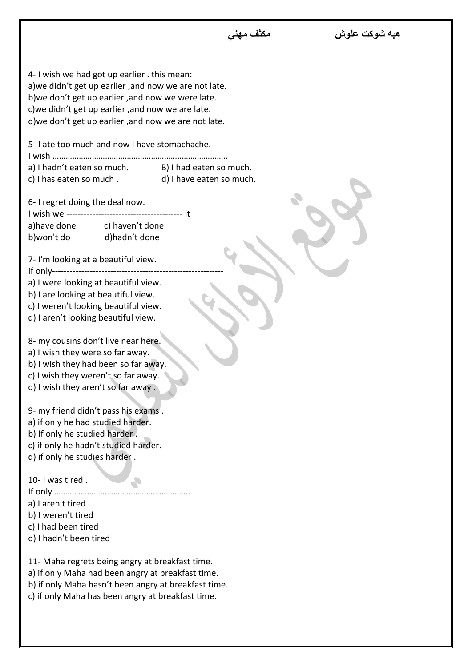**هبه شوكت علوش مكثف مهني**  4- I wish we had got up earlier . this mean: a)we didn't get up earlier ,and now we are not late. b)we don't get up earlier ,and now we were late. c)we didn't get up earlier ,and now we are late. d)we don't get up earlier ,and now we are not late. 5- I ate too much and now I have stomachache. I wish …………………………………………………………………….. a) I hadn't eaten so much. B) I had eaten so much. c) I has eaten so much . d) I have eaten so much. 6- I regret doing the deal now. I wish we ---------------------------------------- it a)have done c) haven't done b)won't do d)hadn't done 7- I'm looking at a beautiful view. If only---------------------------------------------------------- a) I were looking at beautiful view. b) I are looking at beautiful view. c) I weren't looking beautiful view. d) I aren't looking beautiful view. 8- my cousins don't live near here. a) I wish they were so far away. b) I wish they had been so far away. c) I wish they weren't so far away. d) I wish they aren't so far away . 9- my friend didn't pass his exams . a) if only he had studied harder. b) If only he studied harder . c) if only he hadn't studied harder. d) if only he studies harder . 10- I was tired . If only …………………………………………………….. a) I aren't tired b) I weren't tired c) I had been tired d) I hadn't been tired 11- Maha regrets being angry at breakfast time. a) if only Maha had been angry at breakfast time. b) if only Maha hasn't been angry at breakfast time. c) if only Maha has been angry at breakfast time.